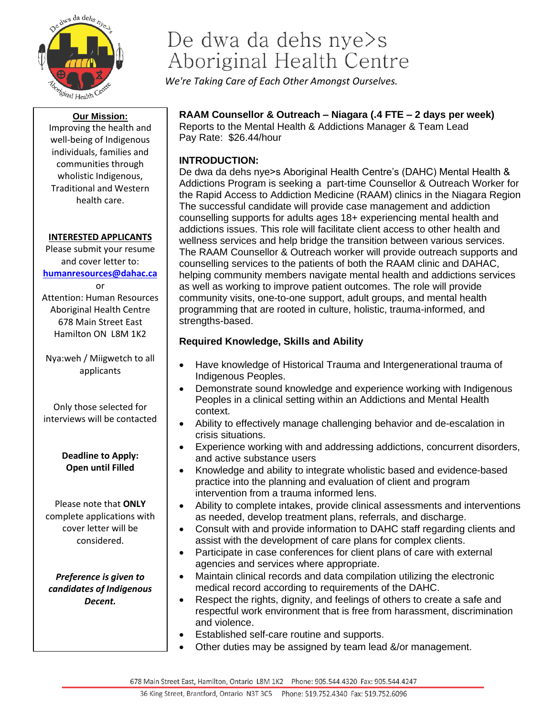

#### **Our Mission:**

Improving the health and well-being of Indigenous individuals, families and communities through wholistic Indigenous, Traditional and Western health care.

#### **INTERESTED APPLICANTS**

Please submit your resume and cover letter to: **[humanresources@dahac.ca](mailto:humanresources@dahac.ca)** or Attention: Human Resources Aboriginal Health Centre

Hamilton ON L8M 1K2 Nya:weh / Miigwetch to all

678 Main Street East

applicants

Only those selected for interviews will be contacted

> **Deadline to Apply: Open until Filled**

Please note that **ONLY** complete applications with cover letter will be considered.

*Preference is given to candidates of Indigenous Decent.*

# De dwa da dehs nye>s Aboriginal Health Centre

*We're Taking Care of Each Other Amongst Ourselves.*

## **RAAM Counsellor & Outreach – Niagara (.4 FTE – 2 days per week)**

Reports to the Mental Health & Addictions Manager & Team Lead Pay Rate: \$26.44/hour

### **INTRODUCTION:**

De dwa da dehs nye>s Aboriginal Health Centre's (DAHC) Mental Health & Addictions Program is seeking a part-time Counsellor & Outreach Worker for the Rapid Access to Addiction Medicine (RAAM) clinics in the Niagara Region The successful candidate will provide case management and addiction counselling supports for adults ages 18+ experiencing mental health and addictions issues. This role will facilitate client access to other health and wellness services and help bridge the transition between various services. The RAAM Counsellor & Outreach worker will provide outreach supports and counselling services to the patients of both the RAAM clinic and DAHAC, helping community members navigate mental health and addictions services as well as working to improve patient outcomes. The role will provide community visits, one-to-one support, adult groups, and mental health programming that are rooted in culture, holistic, trauma-informed, and strengths-based.

#### **Required Knowledge, Skills and Ability**

- Have knowledge of Historical Trauma and Intergenerational trauma of Indigenous Peoples.
- Demonstrate sound knowledge and experience working with Indigenous Peoples in a clinical setting within an Addictions and Mental Health context.
- Ability to effectively manage challenging behavior and de-escalation in crisis situations.
- Experience working with and addressing addictions, concurrent disorders, and active substance users
- Knowledge and ability to integrate wholistic based and evidence-based practice into the planning and evaluation of client and program intervention from a trauma informed lens.
- Ability to complete intakes, provide clinical assessments and interventions as needed, develop treatment plans, referrals, and discharge.
- Consult with and provide information to DAHC staff regarding clients and assist with the development of care plans for complex clients.
- Participate in case conferences for client plans of care with external agencies and services where appropriate.
- Maintain clinical records and data compilation utilizing the electronic medical record according to requirements of the DAHC.
- Respect the rights, dignity, and feelings of others to create a safe and respectful work environment that is free from harassment, discrimination and violence.
- Established self-care routine and supports.
- Other duties may be assigned by team lead &/or management.